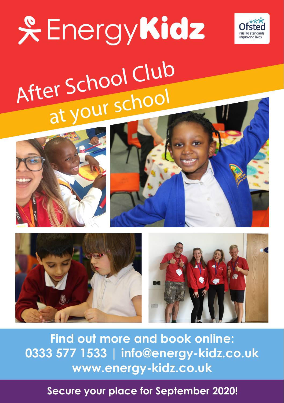

# **& EnergyKidz** After School Club at your school









**Find out more and book online: 0333 577 1533 | info@energy-kidz.co.uk www.energy-kidz.co.uk** 

**Secure your place for September 2020!**